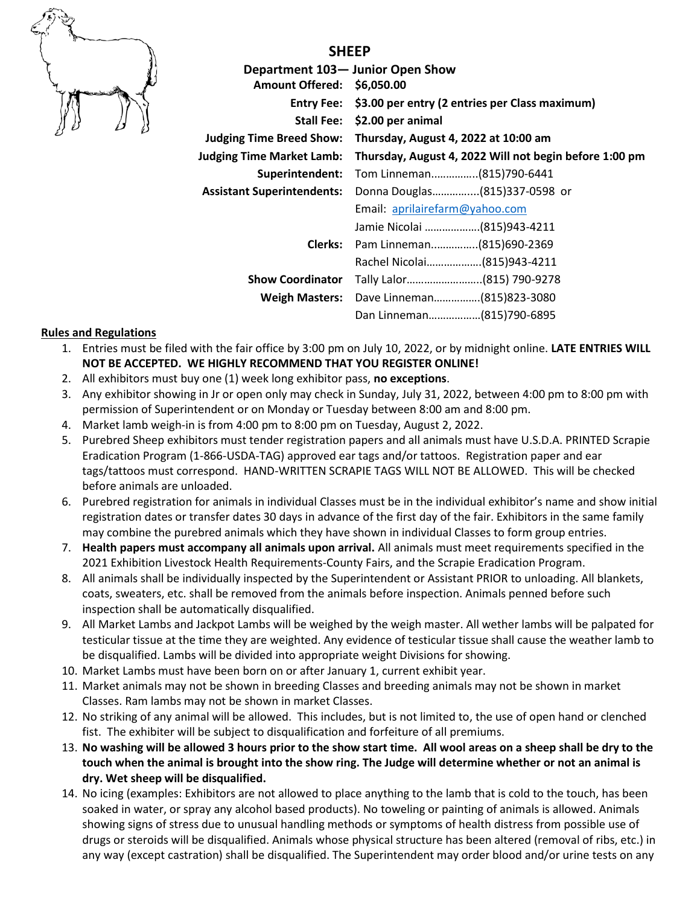

**Department 103— Junior Open Show Amount Offered: \$6,050.00 Entry Fee: \$3.00 per entry (2 entries per Class maximum) Stall Fee: \$2.00 per animal Judging Time Breed Show: Thursday, August 4, 2022 at 10:00 am Judging Time Market Lamb: Thursday, August 4, 2022 Will not begin before 1:00 pm Superintendent:** Tom Linneman..…………..(815)790-6441 **Assistant Superintendents:** Donna Douglas…………....(815)337-0598 or Email: [aprilairefarm@yahoo.com](mailto:aprilairefarm@yahoo.com) Jamie Nicolai ……………….(815)943-4211 **Clerks:** Pam Linneman..…………..(815)690-2369 Rachel Nicolai……………….(815)943-4211 **Show Coordinator** Tally Lalor……………………..(815) 790-9278 **Weigh Masters:** Dave Linneman…………….(815)823-3080

Dan Linneman………………(815)790-6895

## **Rules and Regulations**

- 1. Entries must be filed with the fair office by 3:00 pm on July 10, 2022, or by midnight online. **LATE ENTRIES WILL NOT BE ACCEPTED. WE HIGHLY RECOMMEND THAT YOU REGISTER ONLINE!**
- 2. All exhibitors must buy one (1) week long exhibitor pass, **no exceptions**.
- 3. Any exhibitor showing in Jr or open only may check in Sunday, July 31, 2022, between 4:00 pm to 8:00 pm with permission of Superintendent or on Monday or Tuesday between 8:00 am and 8:00 pm.
- 4. Market lamb weigh-in is from 4:00 pm to 8:00 pm on Tuesday, August 2, 2022.
- 5. Purebred Sheep exhibitors must tender registration papers and all animals must have U.S.D.A. PRINTED Scrapie Eradication Program (1-866-USDA-TAG) approved ear tags and/or tattoos. Registration paper and ear tags/tattoos must correspond. HAND-WRITTEN SCRAPIE TAGS WILL NOT BE ALLOWED. This will be checked before animals are unloaded.
- 6. Purebred registration for animals in individual Classes must be in the individual exhibitor's name and show initial registration dates or transfer dates 30 days in advance of the first day of the fair. Exhibitors in the same family may combine the purebred animals which they have shown in individual Classes to form group entries.
- 7. **Health papers must accompany all animals upon arrival.** All animals must meet requirements specified in the 2021 Exhibition Livestock Health Requirements-County Fairs, and the Scrapie Eradication Program.
- 8. All animals shall be individually inspected by the Superintendent or Assistant PRIOR to unloading. All blankets, coats, sweaters, etc. shall be removed from the animals before inspection. Animals penned before such inspection shall be automatically disqualified.
- 9. All Market Lambs and Jackpot Lambs will be weighed by the weigh master. All wether lambs will be palpated for testicular tissue at the time they are weighted. Any evidence of testicular tissue shall cause the weather lamb to be disqualified. Lambs will be divided into appropriate weight Divisions for showing.
- 10. Market Lambs must have been born on or after January 1, current exhibit year.
- 11. Market animals may not be shown in breeding Classes and breeding animals may not be shown in market Classes. Ram lambs may not be shown in market Classes.
- 12. No striking of any animal will be allowed. This includes, but is not limited to, the use of open hand or clenched fist. The exhibiter will be subject to disqualification and forfeiture of all premiums.
- 13. **No washing will be allowed 3 hours prior to the show start time. All wool areas on a sheep shall be dry to the touch when the animal is brought into the show ring. The Judge will determine whether or not an animal is dry. Wet sheep will be disqualified.**
- 14. No icing (examples: Exhibitors are not allowed to place anything to the lamb that is cold to the touch, has been soaked in water, or spray any alcohol based products). No toweling or painting of animals is allowed. Animals showing signs of stress due to unusual handling methods or symptoms of health distress from possible use of drugs or steroids will be disqualified. Animals whose physical structure has been altered (removal of ribs, etc.) in any way (except castration) shall be disqualified. The Superintendent may order blood and/or urine tests on any

**SHEEP**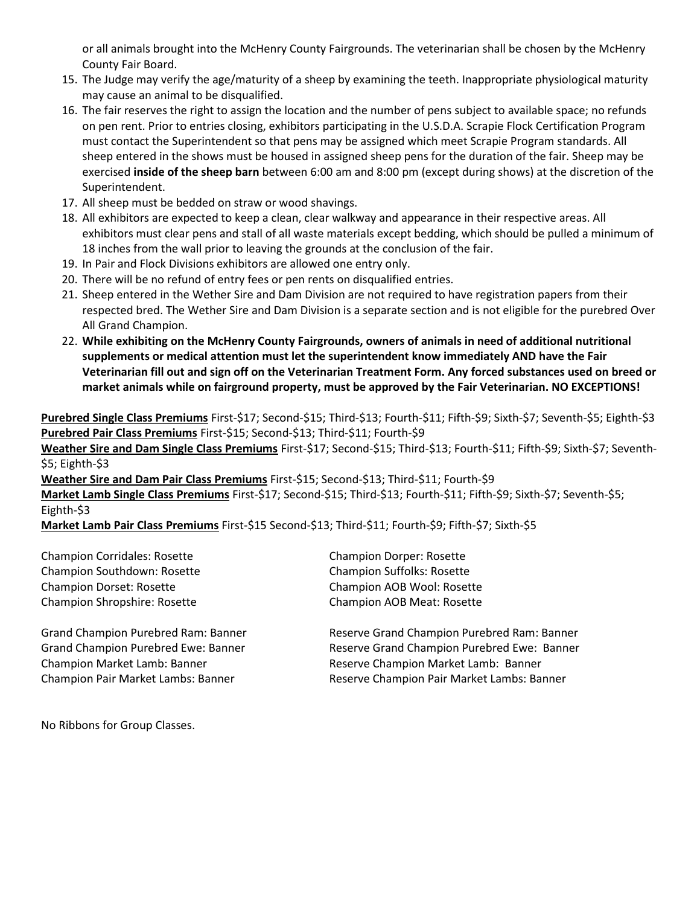or all animals brought into the McHenry County Fairgrounds. The veterinarian shall be chosen by the McHenry County Fair Board.

- 15. The Judge may verify the age/maturity of a sheep by examining the teeth. Inappropriate physiological maturity may cause an animal to be disqualified.
- 16. The fair reserves the right to assign the location and the number of pens subject to available space; no refunds on pen rent. Prior to entries closing, exhibitors participating in the U.S.D.A. Scrapie Flock Certification Program must contact the Superintendent so that pens may be assigned which meet Scrapie Program standards. All sheep entered in the shows must be housed in assigned sheep pens for the duration of the fair. Sheep may be exercised **inside of the sheep barn** between 6:00 am and 8:00 pm (except during shows) at the discretion of the Superintendent.
- 17. All sheep must be bedded on straw or wood shavings.
- 18. All exhibitors are expected to keep a clean, clear walkway and appearance in their respective areas. All exhibitors must clear pens and stall of all waste materials except bedding, which should be pulled a minimum of 18 inches from the wall prior to leaving the grounds at the conclusion of the fair.
- 19. In Pair and Flock Divisions exhibitors are allowed one entry only.
- 20. There will be no refund of entry fees or pen rents on disqualified entries.
- 21. Sheep entered in the Wether Sire and Dam Division are not required to have registration papers from their respected bred. The Wether Sire and Dam Division is a separate section and is not eligible for the purebred Over All Grand Champion.
- 22. **While exhibiting on the McHenry County Fairgrounds, owners of animals in need of additional nutritional supplements or medical attention must let the superintendent know immediately AND have the Fair Veterinarian fill out and sign off on the Veterinarian Treatment Form. Any forced substances used on breed or market animals while on fairground property, must be approved by the Fair Veterinarian. NO EXCEPTIONS!**

**Purebred Single Class Premiums** First-\$17; Second-\$15; Third-\$13; Fourth-\$11; Fifth-\$9; Sixth-\$7; Seventh-\$5; Eighth-\$3 **Purebred Pair Class Premiums** First-\$15; Second-\$13; Third-\$11; Fourth-\$9

**Weather Sire and Dam Single Class Premiums** First-\$17; Second-\$15; Third-\$13; Fourth-\$11; Fifth-\$9; Sixth-\$7; Seventh- \$5; Eighth-\$3

**Weather Sire and Dam Pair Class Premiums** First-\$15; Second-\$13; Third-\$11; Fourth-\$9 **Market Lamb Single Class Premiums** First-\$17; Second-\$15; Third-\$13; Fourth-\$11; Fifth-\$9; Sixth-\$7; Seventh-\$5; Eighth-\$3

**Market Lamb Pair Class Premiums** First-\$15 Second-\$13; Third-\$11; Fourth-\$9; Fifth-\$7; Sixth-\$5

Champion Corridales: Rosette Champion Dorper: Rosette Champion Southdown: Rosette Champion Suffolks: Rosette Champion Dorset: Rosette Champion AOB Wool: Rosette Champion Shropshire: Rosette Champion AOB Meat: Rosette

Grand Champion Purebred Ram: Banner Reserve Grand Champion Purebred Ram: Banner Grand Champion Purebred Ewe: Banner Reserve Grand Champion Purebred Ewe: Banner Champion Market Lamb: Banner The Reserve Champion Market Lamb: Banner Champion Pair Market Lambs: Banner Reserve Champion Pair Market Lambs: Banner

No Ribbons for Group Classes.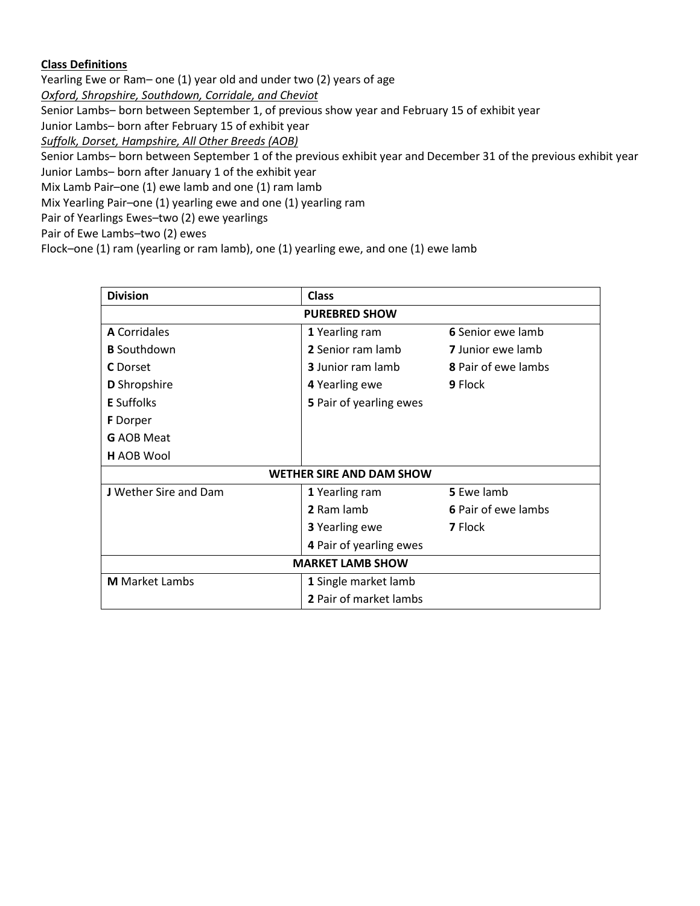## **Class Definitions**

Yearling Ewe or Ram– one (1) year old and under two (2) years of age

*Oxford, Shropshire, Southdown, Corridale, and Cheviot*

Senior Lambs– born between September 1, of previous show year and February 15 of exhibit year

Junior Lambs– born after February 15 of exhibit year

*Suffolk, Dorset, Hampshire, All Other Breeds (AOB)*

Senior Lambs– born between September 1 of the previous exhibit year and December 31 of the previous exhibit year

Junior Lambs– born after January 1 of the exhibit year

Mix Lamb Pair–one (1) ewe lamb and one (1) ram lamb

Mix Yearling Pair–one (1) yearling ewe and one (1) yearling ram

Pair of Yearlings Ewes–two (2) ewe yearlings

Pair of Ewe Lambs–two (2) ewes

Flock–one (1) ram (yearling or ram lamb), one (1) yearling ewe, and one (1) ewe lamb

| <b>Division</b>                 | <b>Class</b>             |                            |  |  |  |  |  |
|---------------------------------|--------------------------|----------------------------|--|--|--|--|--|
| <b>PUREBRED SHOW</b>            |                          |                            |  |  |  |  |  |
| <b>A</b> Corridales             | 1 Yearling ram           | 6 Senior ewe lamb          |  |  |  |  |  |
| <b>B</b> Southdown              | 2 Senior ram lamb        | <b>7</b> Junior ewe lamb   |  |  |  |  |  |
| <b>C</b> Dorset                 | <b>3</b> Junior ram lamb | <b>8</b> Pair of ewe lambs |  |  |  |  |  |
| <b>D</b> Shropshire             | 4 Yearling ewe           | 9 Flock                    |  |  |  |  |  |
| <b>E</b> Suffolks               | 5 Pair of yearling ewes  |                            |  |  |  |  |  |
| <b>F</b> Dorper                 |                          |                            |  |  |  |  |  |
| <b>G</b> AOB Meat               |                          |                            |  |  |  |  |  |
| <b>H</b> AOB Wool               |                          |                            |  |  |  |  |  |
| <b>WETHER SIRE AND DAM SHOW</b> |                          |                            |  |  |  |  |  |
| <b>J</b> Wether Sire and Dam    | 1 Yearling ram           | 5 Ewe lamb                 |  |  |  |  |  |
|                                 | 2 Ram lamb               | 6 Pair of ewe lambs        |  |  |  |  |  |
|                                 | 3 Yearling ewe           | 7 Flock                    |  |  |  |  |  |
|                                 | 4 Pair of yearling ewes  |                            |  |  |  |  |  |
| <b>MARKET LAMB SHOW</b>         |                          |                            |  |  |  |  |  |
| <b>M</b> Market Lambs           | 1 Single market lamb     |                            |  |  |  |  |  |
|                                 | 2 Pair of market lambs   |                            |  |  |  |  |  |